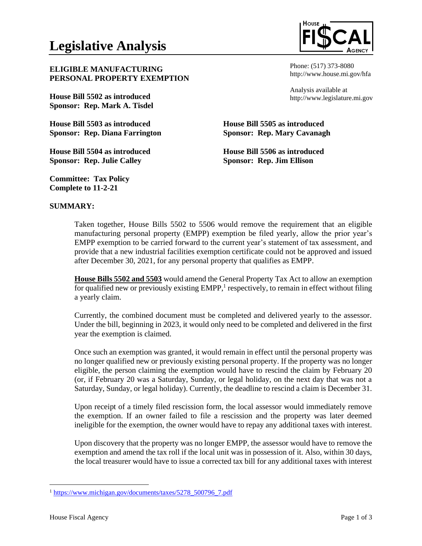

**ELIGIBLE MANUFACTURING PERSONAL PROPERTY EXEMPTION** 

**House Bill 5502 as introduced Sponsor: Rep. Mark A. Tisdel**

**House Bill 5503 as introduced Sponsor: Rep. Diana Farrington**

**House Bill 5504 as introduced Sponsor: Rep. Julie Calley** 

**Committee: Tax Policy Complete to 11-2-21**

Phone: (517) 373-8080 http://www.house.mi.gov/hfa

Analysis available at http://www.legislature.mi.gov

**House Bill 5505 as introduced Sponsor: Rep. Mary Cavanagh**

**House Bill 5506 as introduced Sponsor: Rep. Jim Ellison**

## **SUMMARY:**

Taken together, House Bills 5502 to 5506 would remove the requirement that an eligible manufacturing personal property (EMPP) exemption be filed yearly, allow the prior year's EMPP exemption to be carried forward to the current year's statement of tax assessment, and provide that a new industrial facilities exemption certificate could not be approved and issued after December 30, 2021, for any personal property that qualifies as EMPP.

**House Bills 5502 and 5503** would amend the General Property Tax Act to allow an exemption for qualified new or previously existing  $EMPP$ , respectively, to remain in effect without filing a yearly claim.

Currently, the combined document must be completed and delivered yearly to the assessor. Under the bill, beginning in 2023, it would only need to be completed and delivered in the first year the exemption is claimed.

Once such an exemption was granted, it would remain in effect until the personal property was no longer qualified new or previously existing personal property. If the property was no longer eligible, the person claiming the exemption would have to rescind the claim by February 20 (or, if February 20 was a Saturday, Sunday, or legal holiday, on the next day that was not a Saturday, Sunday, or legal holiday). Currently, the deadline to rescind a claim is December 31.

Upon receipt of a timely filed rescission form, the local assessor would immediately remove the exemption. If an owner failed to file a rescission and the property was later deemed ineligible for the exemption, the owner would have to repay any additional taxes with interest.

Upon discovery that the property was no longer EMPP, the assessor would have to remove the exemption and amend the tax roll if the local unit was in possession of it. Also, within 30 days, the local treasurer would have to issue a corrected tax bill for any additional taxes with interest

<sup>&</sup>lt;sup>1</sup> [https://www.michigan.gov/documents/taxes/5278\\_500796\\_7.pdf](https://www.michigan.gov/documents/taxes/5278_500796_7.pdf)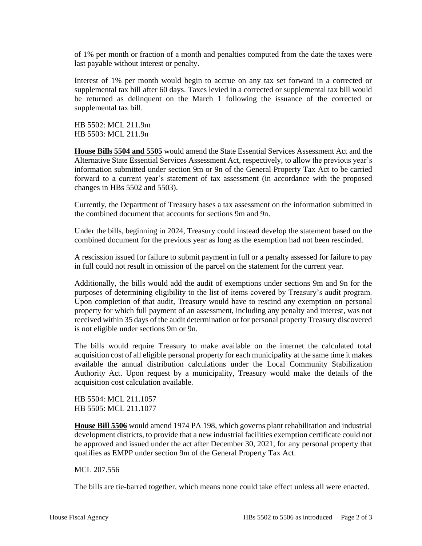of 1% per month or fraction of a month and penalties computed from the date the taxes were last payable without interest or penalty.

Interest of 1% per month would begin to accrue on any tax set forward in a corrected or supplemental tax bill after 60 days. Taxes levied in a corrected or supplemental tax bill would be returned as delinquent on the March 1 following the issuance of the corrected or supplemental tax bill.

HB 5502: MCL 211.9m HB 5503: MCL 211.9n

**House Bills 5504 and 5505** would amend the State Essential Services Assessment Act and the Alternative State Essential Services Assessment Act, respectively, to allow the previous year's information submitted under section 9m or 9n of the General Property Tax Act to be carried forward to a current year's statement of tax assessment (in accordance with the proposed changes in HBs 5502 and 5503).

Currently, the Department of Treasury bases a tax assessment on the information submitted in the combined document that accounts for sections 9m and 9n.

Under the bills, beginning in 2024, Treasury could instead develop the statement based on the combined document for the previous year as long as the exemption had not been rescinded.

A rescission issued for failure to submit payment in full or a penalty assessed for failure to pay in full could not result in omission of the parcel on the statement for the current year.

Additionally, the bills would add the audit of exemptions under sections 9m and 9n for the purposes of determining eligibility to the list of items covered by Treasury's audit program. Upon completion of that audit, Treasury would have to rescind any exemption on personal property for which full payment of an assessment, including any penalty and interest, was not received within 35 days of the audit determination or for personal property Treasury discovered is not eligible under sections 9m or 9n.

The bills would require Treasury to make available on the internet the calculated total acquisition cost of all eligible personal property for each municipality at the same time it makes available the annual distribution calculations under the Local Community Stabilization Authority Act. Upon request by a municipality, Treasury would make the details of the acquisition cost calculation available.

HB 5504: MCL 211.1057 HB 5505: MCL 211.1077

**House Bill 5506** would amend 1974 PA 198, which governs plant rehabilitation and industrial development districts, to provide that a new industrial facilities exemption certificate could not be approved and issued under the act after December 30, 2021, for any personal property that qualifies as EMPP under section 9m of the General Property Tax Act.

MCL 207.556

The bills are tie-barred together, which means none could take effect unless all were enacted.